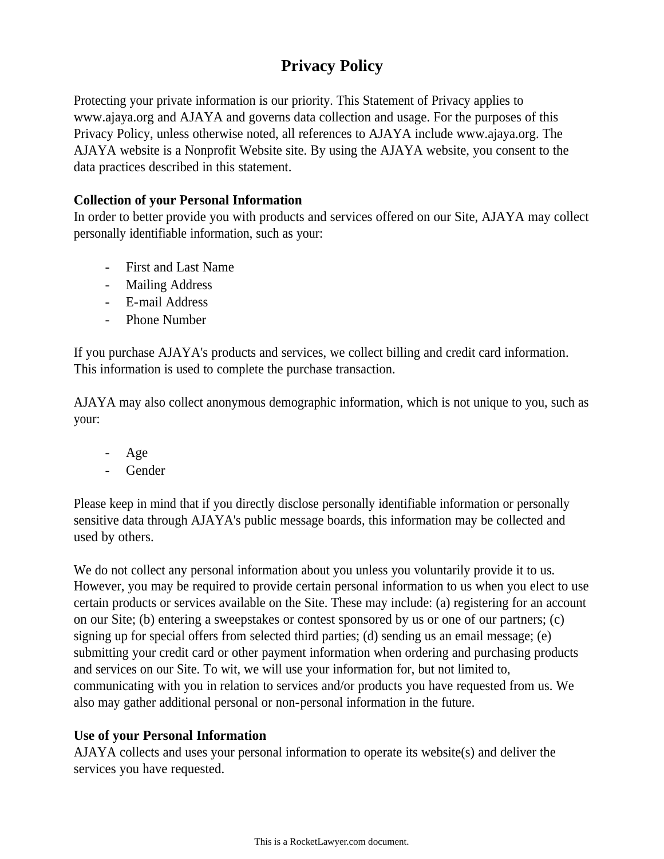# **Privacy Policy**

Protecting your private information is our priority. This Statement of Privacy applies to www.ajaya.org and AJAYA and governs data collection and usage. For the purposes of this Privacy Policy, unless otherwise noted, all references to AJAYA include www.ajaya.org. The AJAYA website is a Nonprofit Website site. By using the AJAYA website, you consent to the data practices described in this statement.

# **Collection of your Personal Information**

In order to better provide you with products and services offered on our Site, AJAYA may collect personally identifiable information, such as your:

- First and Last Name
- Mailing Address
- E-mail Address
- Phone Number

If you purchase AJAYA's products and services, we collect billing and credit card information. This information is used to complete the purchase transaction.

AJAYA may also collect anonymous demographic information, which is not unique to you, such as your:

- Age
- **Gender**

Please keep in mind that if you directly disclose personally identifiable information or personally sensitive data through AJAYA's public message boards, this information may be collected and used by others.

We do not collect any personal information about you unless you voluntarily provide it to us. However, you may be required to provide certain personal information to us when you elect to use certain products or services available on the Site. These may include: (a) registering for an account on our Site; (b) entering a sweepstakes or contest sponsored by us or one of our partners; (c) signing up for special offers from selected third parties; (d) sending us an email message; (e) submitting your credit card or other payment information when ordering and purchasing products and services on our Site. To wit, we will use your information for, but not limited to, communicating with you in relation to services and/or products you have requested from us. We also may gather additional personal or non-personal information in the future.

# **Use of your Personal Information**

AJAYA collects and uses your personal information to operate its website(s) and deliver the services you have requested.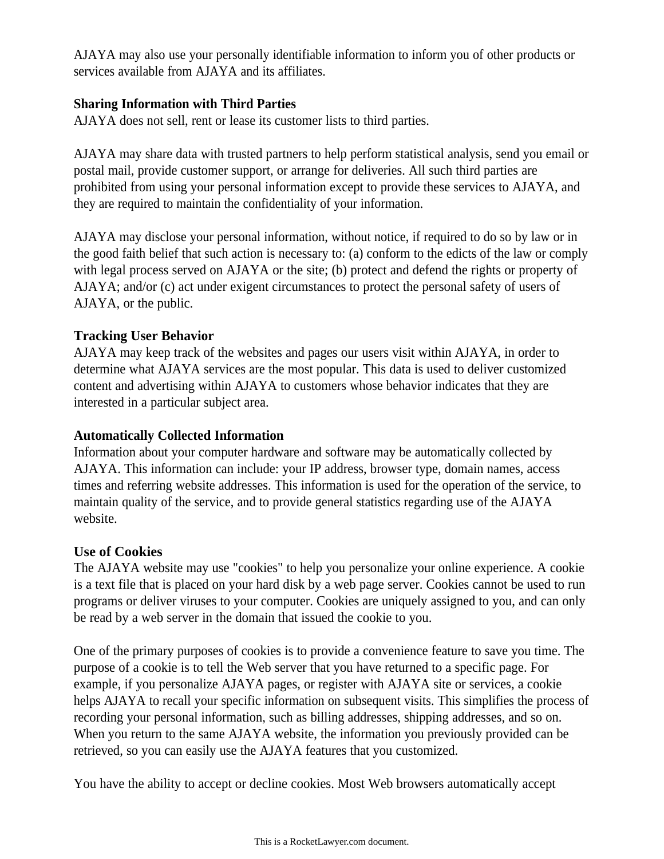AJAYA may also use your personally identifiable information to inform you of other products or services available from AJAYA and its affiliates.

# **Sharing Information with Third Parties**

AJAYA does not sell, rent or lease its customer lists to third parties.

AJAYA may share data with trusted partners to help perform statistical analysis, send you email or postal mail, provide customer support, or arrange for deliveries. All such third parties are prohibited from using your personal information except to provide these services to AJAYA, and they are required to maintain the confidentiality of your information.

AJAYA may disclose your personal information, without notice, if required to do so by law or in the good faith belief that such action is necessary to: (a) conform to the edicts of the law or comply with legal process served on AJAYA or the site; (b) protect and defend the rights or property of AJAYA; and/or (c) act under exigent circumstances to protect the personal safety of users of AJAYA, or the public.

# **Tracking User Behavior**

AJAYA may keep track of the websites and pages our users visit within AJAYA, in order to determine what AJAYA services are the most popular. This data is used to deliver customized content and advertising within AJAYA to customers whose behavior indicates that they are interested in a particular subject area.

# **Automatically Collected Information**

Information about your computer hardware and software may be automatically collected by AJAYA. This information can include: your IP address, browser type, domain names, access times and referring website addresses. This information is used for the operation of the service, to maintain quality of the service, and to provide general statistics regarding use of the AJAYA website.

# **Use of Cookies**

The AJAYA website may use "cookies" to help you personalize your online experience. A cookie is a text file that is placed on your hard disk by a web page server. Cookies cannot be used to run programs or deliver viruses to your computer. Cookies are uniquely assigned to you, and can only be read by a web server in the domain that issued the cookie to you.

One of the primary purposes of cookies is to provide a convenience feature to save you time. The purpose of a cookie is to tell the Web server that you have returned to a specific page. For example, if you personalize AJAYA pages, or register with AJAYA site or services, a cookie helps AJAYA to recall your specific information on subsequent visits. This simplifies the process of recording your personal information, such as billing addresses, shipping addresses, and so on. When you return to the same AJAYA website, the information you previously provided can be retrieved, so you can easily use the AJAYA features that you customized.

You have the ability to accept or decline cookies. Most Web browsers automatically accept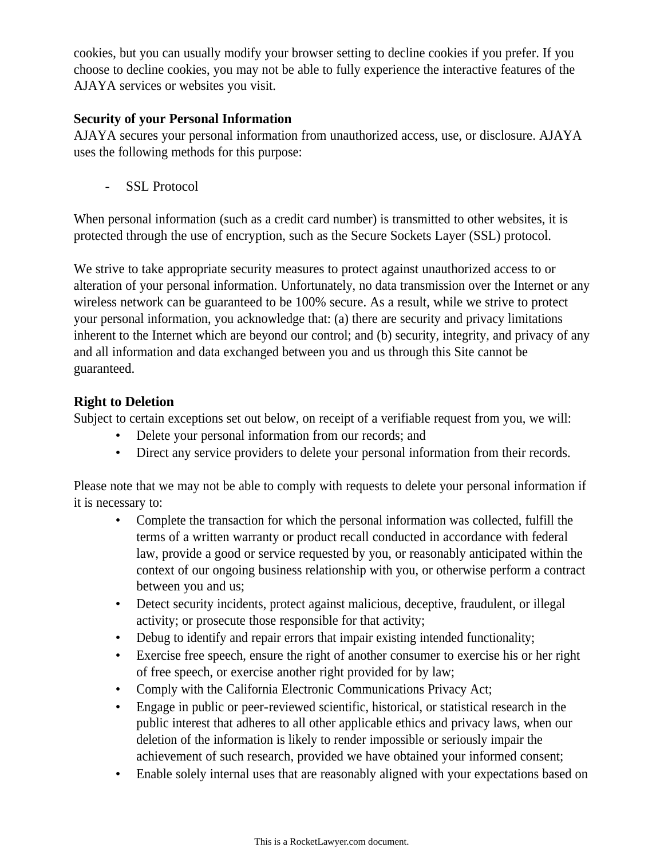cookies, but you can usually modify your browser setting to decline cookies if you prefer. If you choose to decline cookies, you may not be able to fully experience the interactive features of the AJAYA services or websites you visit.

# **Security of your Personal Information**

AJAYA secures your personal information from unauthorized access, use, or disclosure. AJAYA uses the following methods for this purpose:

- SSL Protocol

When personal information (such as a credit card number) is transmitted to other websites, it is protected through the use of encryption, such as the Secure Sockets Layer (SSL) protocol.

We strive to take appropriate security measures to protect against unauthorized access to or alteration of your personal information. Unfortunately, no data transmission over the Internet or any wireless network can be guaranteed to be 100% secure. As a result, while we strive to protect your personal information, you acknowledge that: (a) there are security and privacy limitations inherent to the Internet which are beyond our control; and (b) security, integrity, and privacy of any and all information and data exchanged between you and us through this Site cannot be guaranteed.

# **Right to Deletion**

Subject to certain exceptions set out below, on receipt of a verifiable request from you, we will:

- Delete your personal information from our records; and
- Direct any service providers to delete your personal information from their records.

Please note that we may not be able to comply with requests to delete your personal information if it is necessary to:

- Complete the transaction for which the personal information was collected, fulfill the terms of a written warranty or product recall conducted in accordance with federal law, provide a good or service requested by you, or reasonably anticipated within the context of our ongoing business relationship with you, or otherwise perform a contract between you and us;
- Detect security incidents, protect against malicious, deceptive, fraudulent, or illegal activity; or prosecute those responsible for that activity;
- Debug to identify and repair errors that impair existing intended functionality;
- Exercise free speech, ensure the right of another consumer to exercise his or her right of free speech, or exercise another right provided for by law;
- Comply with the California Electronic Communications Privacy Act;
- Engage in public or peer-reviewed scientific, historical, or statistical research in the public interest that adheres to all other applicable ethics and privacy laws, when our deletion of the information is likely to render impossible or seriously impair the achievement of such research, provided we have obtained your informed consent;
- Enable solely internal uses that are reasonably aligned with your expectations based on